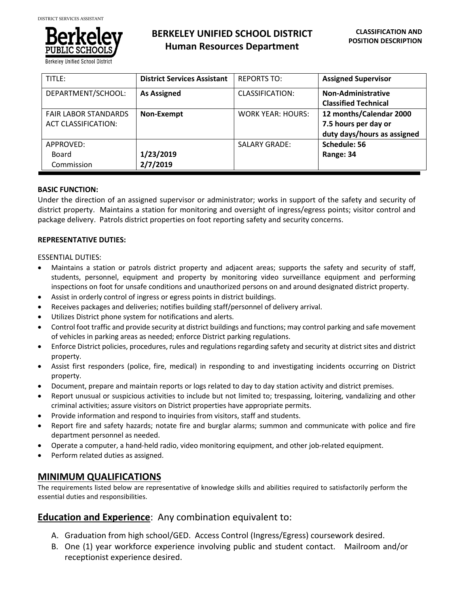

# **BERKELEY UNIFIED SCHOOL DISTRICT Human Resources Department**

| TITLE:                      | <b>District Services Assistant</b> | <b>REPORTS TO:</b>       | <b>Assigned Supervisor</b>  |
|-----------------------------|------------------------------------|--------------------------|-----------------------------|
| DEPARTMENT/SCHOOL:          | <b>As Assigned</b>                 | <b>CLASSIFICATION:</b>   | Non-Administrative          |
|                             |                                    |                          | <b>Classified Technical</b> |
| <b>FAIR LABOR STANDARDS</b> | Non-Exempt                         | <b>WORK YEAR: HOURS:</b> | 12 months/Calendar 2000     |
| <b>ACT CLASSIFICATION:</b>  |                                    |                          | 7.5 hours per day or        |
|                             |                                    |                          | duty days/hours as assigned |
| APPROVED:                   |                                    | <b>SALARY GRADE:</b>     | Schedule: 56                |
| Board                       | 1/23/2019                          |                          | Range: 34                   |
| Commission                  | 2/7/2019                           |                          |                             |

## **BASIC FUNCTION:**

Under the direction of an assigned supervisor or administrator; works in support of the safety and security of district property. Maintains a station for monitoring and oversight of ingress/egress points; visitor control and package delivery. Patrols district properties on foot reporting safety and security concerns.

# **REPRESENTATIVE DUTIES:**

ESSENTIAL DUTIES:

- Maintains a station or patrols district property and adjacent areas; supports the safety and security of staff, students, personnel, equipment and property by monitoring video surveillance equipment and performing inspections on foot for unsafe conditions and unauthorized persons on and around designated district property.
- Assist in orderly control of ingress or egress points in district buildings.
- Receives packages and deliveries; notifies building staff/personnel of delivery arrival.
- Utilizes District phone system for notifications and alerts.
- Control foot traffic and provide security at district buildings and functions; may control parking and safe movement of vehicles in parking areas as needed; enforce District parking regulations.
- Enforce District policies, procedures, rules and regulations regarding safety and security at district sites and district property.
- Assist first responders (police, fire, medical) in responding to and investigating incidents occurring on District property.
- Document, prepare and maintain reports or logs related to day to day station activity and district premises.
- Report unusual or suspicious activities to include but not limited to; trespassing, loitering, vandalizing and other criminal activities; assure visitors on District properties have appropriate permits.
- Provide information and respond to inquiries from visitors, staff and students.
- Report fire and safety hazards; notate fire and burglar alarms; summon and communicate with police and fire department personnel as needed.
- Operate a computer, a hand-held radio, video monitoring equipment, and other job-related equipment.
- Perform related duties as assigned.

# **MINIMUM QUALIFICATIONS**

The requirements listed below are representative of knowledge skills and abilities required to satisfactorily perform the essential duties and responsibilities.

# **Education and Experience**: Any combination equivalent to:

- A. Graduation from high school/GED. Access Control (Ingress/Egress) coursework desired.
- B. One (1) year workforce experience involving public and student contact. Mailroom and/or receptionist experience desired.